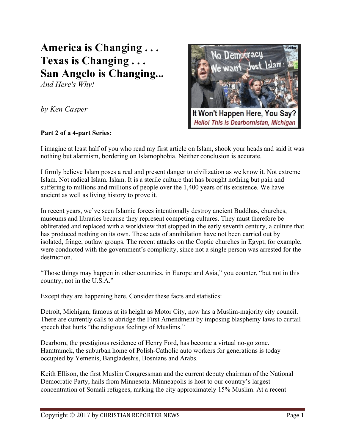## **America is Changing . . . Texas is Changing . . . San Angelo is Changing...**

*And Here's Why!*

*by Ken Casper*



## **Part 2 of a 4-part Series:**

I imagine at least half of you who read my first article on Islam, shook your heads and said it was nothing but alarmism, bordering on Islamophobia. Neither conclusion is accurate.

I firmly believe Islam poses a real and present danger to civilization as we know it. Not extreme Islam. Not radical Islam. Islam. It is a sterile culture that has brought nothing but pain and suffering to millions and millions of people over the 1,400 years of its existence. We have ancient as well as living history to prove it.

In recent years, we've seen Islamic forces intentionally destroy ancient Buddhas, churches, museums and libraries because they represent competing cultures. They must therefore be obliterated and replaced with a worldview that stopped in the early seventh century, a culture that has produced nothing on its own. These acts of annihilation have not been carried out by isolated, fringe, outlaw groups. The recent attacks on the Coptic churches in Egypt, for example, were conducted with the government's complicity, since not a single person was arrested for the destruction.

"Those things may happen in other countries, in Europe and Asia," you counter, "but not in this country, not in the U.S.A."

Except they are happening here. Consider these facts and statistics:

Detroit, Michigan, famous at its height as Motor City, now has a Muslim-majority city council. There are currently calls to abridge the First Amendment by imposing blasphemy laws to curtail speech that hurts "the religious feelings of Muslims."

Dearborn, the prestigious residence of Henry Ford, has become a virtual no-go zone. Hamtramck, the suburban home of Polish-Catholic auto workers for generations is today occupied by Yemenis, Bangladeshis, Bosnians and Arabs.

Keith Ellison, the first Muslim Congressman and the current deputy chairman of the National Democratic Party, hails from Minnesota. Minneapolis is host to our country's largest concentration of Somali refugees, making the city approximately 15% Muslim. At a recent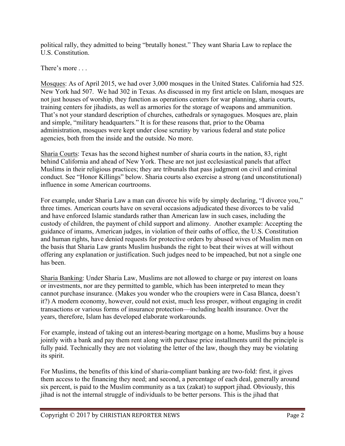political rally, they admitted to being "brutally honest." They want Sharia Law to replace the U.S. Constitution.

There's more . . .

Mosques: As of April 2015, we had over 3,000 mosques in the United States. California had 525. New York had 507. We had 302 in Texas. As discussed in my first article on Islam, mosques are not just houses of worship, they function as operations centers for war planning, sharia courts, training centers for jihadists, as well as armories for the storage of weapons and ammunition. That's not your standard description of churches, cathedrals or synagogues. Mosques are, plain and simple, "military headquarters." It is for these reasons that, prior to the Obama administration, mosques were kept under close scrutiny by various federal and state police agencies, both from the inside and the outside. No more.

Sharia Courts: Texas has the second highest number of sharia courts in the nation, 83, right behind California and ahead of New York. These are not just ecclesiastical panels that affect Muslims in their religious practices; they are tribunals that pass judgment on civil and criminal conduct. See "Honor Killings" below. Sharia courts also exercise a strong (and unconstitutional) influence in some American courtrooms.

For example, under Sharia Law a man can divorce his wife by simply declaring, "I divorce you," three times. American courts have on several occasions adjudicated these divorces to be valid and have enforced Islamic standards rather than American law in such cases, including the custody of children, the payment of child support and alimony. Another example: Accepting the guidance of imams, American judges, in violation of their oaths of office, the U.S. Constitution and human rights, have denied requests for protective orders by abused wives of Muslim men on the basis that Sharia Law grants Muslim husbands the right to beat their wives at will without offering any explanation or justification. Such judges need to be impeached, but not a single one has been.

Sharia Banking: Under Sharia Law, Muslims are not allowed to charge or pay interest on loans or investments, nor are they permitted to gamble, which has been interpreted to mean they cannot purchase insurance. (Makes you wonder who the croupiers were in Casa Blanca, doesn't it?) A modern economy, however, could not exist, much less prosper, without engaging in credit transactions or various forms of insurance protection—including health insurance. Over the years, therefore, Islam has developed elaborate workarounds.

For example, instead of taking out an interest-bearing mortgage on a home, Muslims buy a house jointly with a bank and pay them rent along with purchase price installments until the principle is fully paid. Technically they are not violating the letter of the law, though they may be violating its spirit.

For Muslims, the benefits of this kind of sharia-compliant banking are two-fold: first, it gives them access to the financing they need; and second, a percentage of each deal, generally around six percent, is paid to the Muslim community as a tax (zakat) to support jihad. Obviously, this jihad is not the internal struggle of individuals to be better persons. This is the jihad that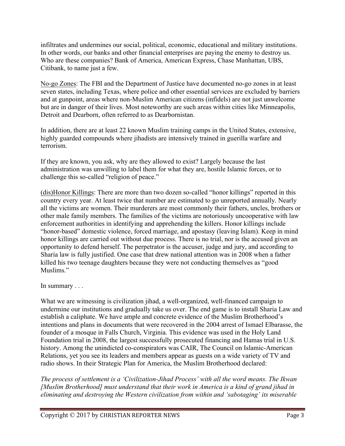infiltrates and undermines our social, political, economic, educational and military institutions. In other words, our banks and other financial enterprises are paying the enemy to destroy us. Who are these companies? Bank of America, American Express, Chase Manhattan, UBS, Citibank, to name just a few.

No-go Zones: The FBI and the Department of Justice have documented no-go zones in at least seven states, including Texas, where police and other essential services are excluded by barriers and at gunpoint, areas where non-Muslim American citizens (infidels) are not just unwelcome but are in danger of their lives. Most noteworthy are such areas within cities like Minneapolis, Detroit and Dearborn, often referred to as Dearbornistan.

In addition, there are at least 22 known Muslim training camps in the United States, extensive, highly guarded compounds where jihadists are intensively trained in guerilla warfare and terrorism.

If they are known, you ask, why are they allowed to exist? Largely because the last administration was unwilling to label them for what they are, hostile Islamic forces, or to challenge this so-called "religion of peace."

(dis)Honor Killings: There are more than two dozen so-called "honor killings" reported in this country every year. At least twice that number are estimated to go unreported annually. Nearly all the victims are women. Their murderers are most commonly their fathers, uncles, brothers or other male family members. The families of the victims are notoriously uncooperative with law enforcement authorities in identifying and apprehending the killers. Honor killings include "honor-based" domestic violence, forced marriage, and apostasy (leaving Islam). Keep in mind honor killings are carried out without due process. There is no trial, nor is the accused given an opportunity to defend herself. The perpetrator is the accuser, judge and jury, and according to Sharia law is fully justified. One case that drew national attention was in 2008 when a father killed his two teenage daughters because they were not conducting themselves as "good Muslims."

In summary . . .

What we are witnessing is civilization jihad, a well-organized, well-financed campaign to undermine our institutions and gradually take us over. The end game is to install Sharia Law and establish a caliphate. We have ample and concrete evidence of the Muslim Brotherhood's intentions and plans in documents that were recovered in the 2004 arrest of Ismael Elbarasse, the founder of a mosque in Falls Church, Virginia. This evidence was used in the Holy Land Foundation trial in 2008, the largest successfully prosecuted financing and Hamas trial in U.S. history. Among the unindicted co-conspirators was CAIR, The Council on Islamic-American Relations, yet you see its leaders and members appear as guests on a wide variety of TV and radio shows. In their Strategic Plan for America, the Muslim Brotherhood declared:

*The process of settlement is a 'Civilization-Jihad Process' with all the word means. The Ikwan [Muslim Brotherhood] must understand that their work in America is a kind of grand jihad in eliminating and destroying the Western civilization from within and 'sabotaging' its miserable*